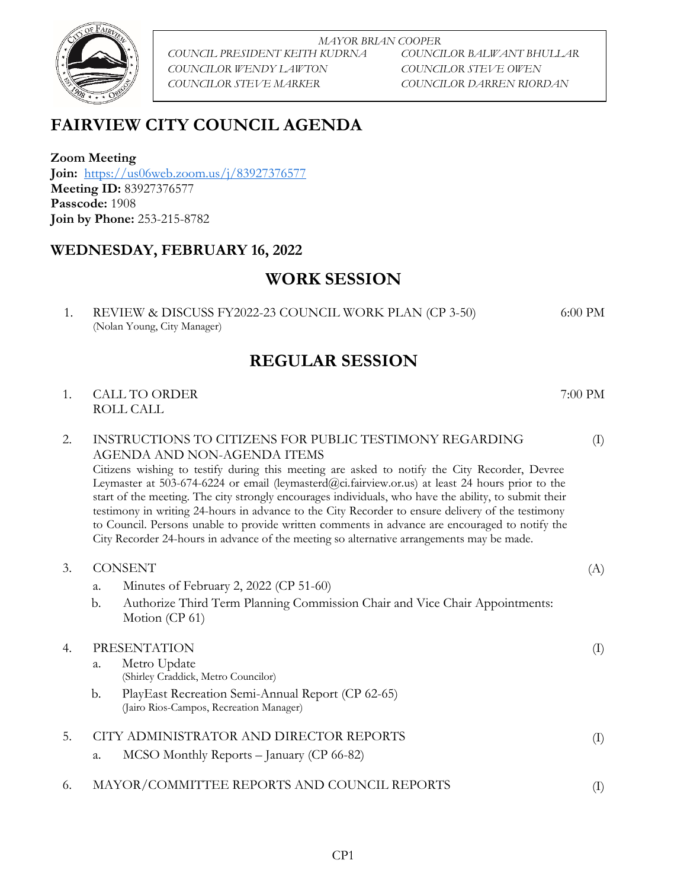

*MAYOR BRIAN COOPER COUNCIL PRESIDENT KEITH KUDRNA COUNCILOR BALWANT BHULLAR COUNCILOR WENDY LAWTON COUNCILOR STEVE OWEN COUNCILOR STEVE MARKER COUNCILOR DARREN RIORDAN*

6:00 PM

# **FAIRVIEW CITY COUNCIL AGENDA**

**Zoom Meeting Join:** <https://us06web.zoom.us/j/83927376577> **Meeting ID:** 83927376577 **Passcode:** 1908 **Join by Phone:** 253-215-8782

### **WEDNESDAY, FEBRUARY 16, 2022**

## **WORK SESSION**

1. REVIEW & DISCUSS FY2022-23 COUNCIL WORK PLAN (CP 3-50) (Nolan Young, City Manager)

## **REGULAR SESSION**

1. CALL TO ORDER 7:00 PM ROLL CALL

(I) 2. INSTRUCTIONS TO CITIZENS FOR PUBLIC TESTIMONY REGARDING AGENDA AND NON-AGENDA ITEMS Citizens wishing to testify during this meeting are asked to notify the City Recorder, Devree Leymaster at 503-674-6224 or email (leymasterd@ci.fairview.or.us) at least 24 hours prior to the start of the meeting. The city strongly encourages individuals, who have the ability, to submit their testimony in writing 24-hours in advance to the City Recorder to ensure delivery of the testimony to Council. Persons unable to provide written comments in advance are encouraged to notify the City Recorder 24-hours in advance of the meeting so alternative arrangements may be made.

| 3.  | <b>CONSENT</b><br>a.<br>$\mathbf{b}$ .<br>Motion (CP 61)                         | Minutes of February 2, 2022 (CP 51-60)<br>Authorize Third Term Planning Commission Chair and Vice Chair Appointments: | (A)            |
|-----|----------------------------------------------------------------------------------|-----------------------------------------------------------------------------------------------------------------------|----------------|
| 4.  | <b>PRESENTATION</b><br>Metro Update<br>a.<br>(Shirley Craddick, Metro Councilor) |                                                                                                                       | $\rm (I)$      |
|     | b.                                                                               | PlayEast Recreation Semi-Annual Report (CP 62-65)<br>(Jairo Rios-Campos, Recreation Manager)                          |                |
| .5. | a.                                                                               | CITY ADMINISTRATOR AND DIRECTOR REPORTS<br>$MCSO$ Monthly Reports – January (CP 66-82)                                | $\rm(I)$       |
| 6.  |                                                                                  | MAYOR/COMMITTEE REPORTS AND COUNCIL REPORTS                                                                           | $(\mathrm{l})$ |